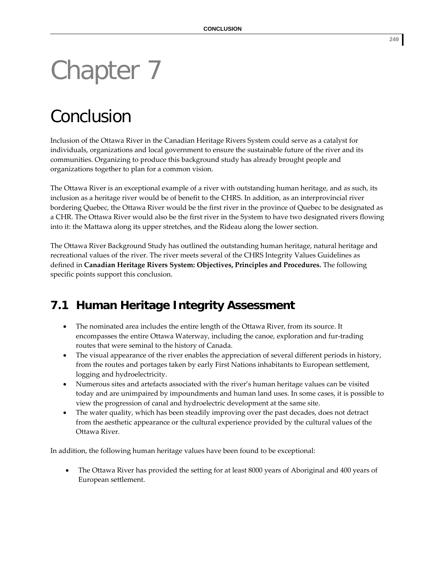## Chapter 7

## Conclusion

Inclusion of the Ottawa River in the Canadian Heritage Rivers System could serve as a catalyst for individuals, organizations and local government to ensure the sustainable future of the river and its communities. Organizing to produce this background study has already brought people and organizations together to plan for a common vision.

The Ottawa River is an exceptional example of a river with outstanding human heritage, and as such, its inclusion as a heritage river would be of benefit to the CHRS. In addition, as an interprovincial river bordering Quebec, the Ottawa River would be the first river in the province of Quebec to be designated as a CHR. The Ottawa River would also be the first river in the System to have two designated rivers flowing into it: the Mattawa along its upper stretches, and the Rideau along the lower section.

The Ottawa River Background Study has outlined the outstanding human heritage, natural heritage and recreational values of the river. The river meets several of the CHRS Integrity Values Guidelines as defined in **Canadian Heritage Rivers System: Objectives, Principles and Procedures.** The following specific points support this conclusion.

## **7.1 Human Heritage Integrity Assessment**

- The nominated area includes the entire length of the Ottawa River, from its source. It encompasses the entire Ottawa Waterway, including the canoe, exploration and fur‐trading routes that were seminal to the history of Canada.
- The visual appearance of the river enables the appreciation of several different periods in history, from the routes and portages taken by early First Nations inhabitants to European settlement, logging and hydroelectricity.
- Numerous sites and artefacts associated with the river's human heritage values can be visited today and are unimpaired by impoundments and human land uses. In some cases, it is possible to view the progression of canal and hydroelectric development at the same site.
- The water quality, which has been steadily improving over the past decades, does not detract from the aesthetic appearance or the cultural experience provided by the cultural values of the Ottawa River.

In addition, the following human heritage values have been found to be exceptional:

• The Ottawa River has provided the setting for at least 8000 years of Aboriginal and 400 years of European settlement.